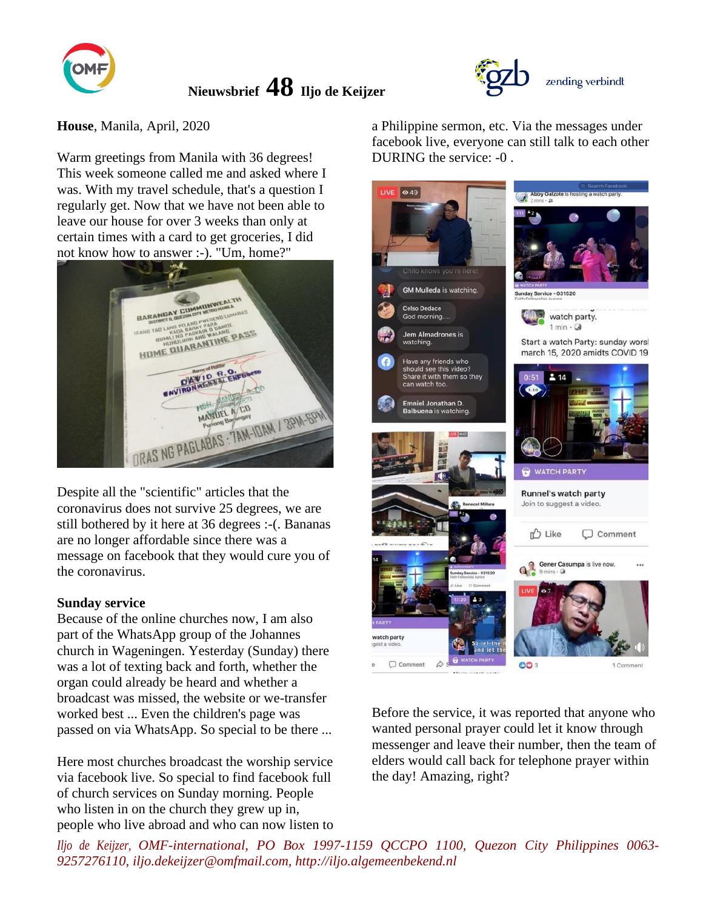

**House**, Manila, April, 2020

Warm greetings from Manila with 36 degrees! This week someone called me and asked where I was. With my travel schedule, that's a question I regularly get. Now that we have not been able to leave our house for over 3 weeks than only at certain times with a card to get groceries, I did not know how to answer :-). "Um, home?"



Despite all the "scientific" articles that the coronavirus does not survive 25 degrees, we are still bothered by it here at 36 degrees :-(. Bananas are no longer affordable since there was a message on facebook that they would cure you of the coronavirus.

#### **Sunday service**

Because of the online churches now, I am also part of the WhatsApp group of the Johannes church in Wageningen. Yesterday (Sunday) there was a lot of texting back and forth, whether the organ could already be heard and whether a broadcast was missed, the website or we-transfer worked best ... Even the children's page was passed on via WhatsApp. So special to be there ...

Here most churches broadcast the worship service via facebook live. So special to find facebook full of church services on Sunday morning. People who listen in on the church they grew up in, people who live abroad and who can now listen to a Philippine sermon, etc. Via the messages under facebook live, everyone can still talk to each other DURING the service: -0 .

zending verbindt



Before the service, it was reported that anyone who wanted personal prayer could let it know through messenger and leave their number, then the team of elders would call back for telephone prayer within the day! Amazing, right?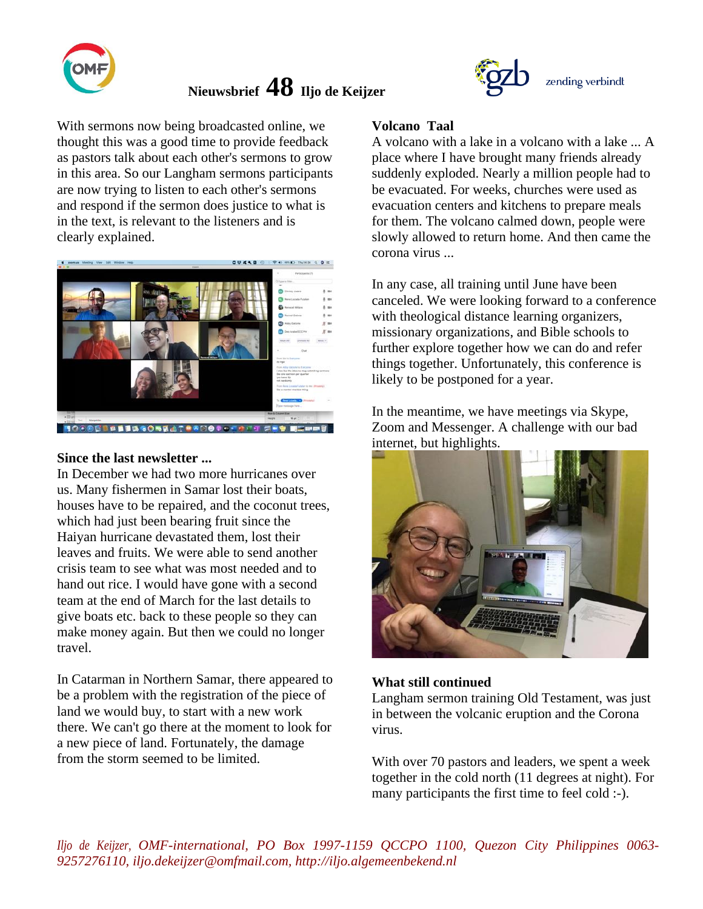

With sermons now being broadcasted online, we thought this was a good time to provide feedback as pastors talk about each other's sermons to grow in this area. So our Langham sermons participants are now trying to listen to each other's sermons and respond if the sermon does justice to what is in the text, is relevant to the listeners and is clearly explained.



#### **Since the last newsletter ...**

In December we had two more hurricanes over us. Many fishermen in Samar lost their boats, houses have to be repaired, and the coconut trees, which had just been bearing fruit since the Haiyan hurricane devastated them, lost their leaves and fruits. We were able to send another crisis team to see what was most needed and to hand out rice. I would have gone with a second team at the end of March for the last details to give boats etc. back to these people so they can make money again. But then we could no longer travel.

In Catarman in Northern Samar, there appeared to be a problem with the registration of the piece of land we would buy, to start with a new work there. We can't go there at the moment to look for a new piece of land. Fortunately, the damage from the storm seemed to be limited.



### **Volcano Taal**

A volcano with a lake in a volcano with a lake ... A place where I have brought many friends already suddenly exploded. Nearly a million people had to be evacuated. For weeks, churches were used as evacuation centers and kitchens to prepare meals for them. The volcano calmed down, people were slowly allowed to return home. And then came the corona virus ...

In any case, all training until June have been canceled. We were looking forward to a conference with theological distance learning organizers, missionary organizations, and Bible schools to further explore together how we can do and refer things together. Unfortunately, this conference is likely to be postponed for a year.

In the meantime, we have meetings via Skype, Zoom and Messenger. A challenge with our bad internet, but highlights.



#### **What still continued**

Langham sermon training Old Testament, was just in between the volcanic eruption and the Corona virus.

With over 70 pastors and leaders, we spent a week together in the cold north (11 degrees at night). For many participants the first time to feel cold :-).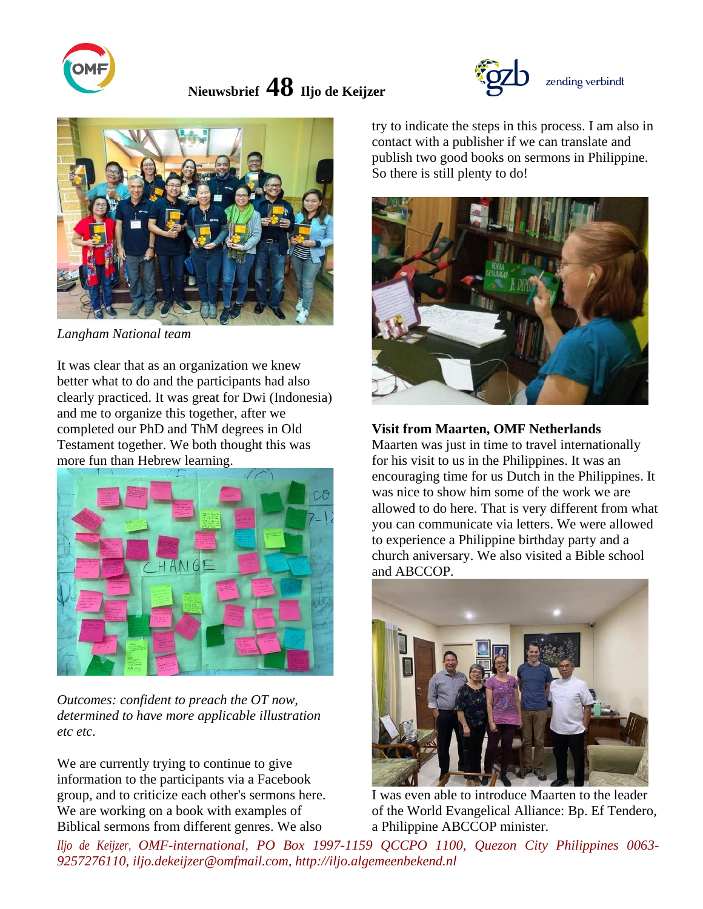





*Langham National team*

It was clear that as an organization we knew better what to do and the participants had also clearly practiced. It was great for Dwi (Indonesia) and me to organize this together, after we completed our PhD and ThM degrees in Old Testament together. We both thought this was more fun than Hebrew learning.



*Outcomes: confident to preach the OT now, determined to have more applicable illustration etc etc.*

We are currently trying to continue to give information to the participants via a Facebook group, and to criticize each other's sermons here. We are working on a book with examples of Biblical sermons from different genres. We also

try to indicate the steps in this process. I am also in contact with a publisher if we can translate and publish two good books on sermons in Philippine. So there is still plenty to do!



## **Visit from Maarten, OMF Netherlands**

Maarten was just in time to travel internationally for his visit to us in the Philippines. It was an encouraging time for us Dutch in the Philippines. It was nice to show him some of the work we are allowed to do here. That is very different from what you can communicate via letters. We were allowed to experience a Philippine birthday party and a church aniversary. We also visited a Bible school and ABCCOP.



I was even able to introduce Maarten to the leader of the World Evangelical Alliance: Bp. Ef Tendero, a Philippine ABCCOP minister.